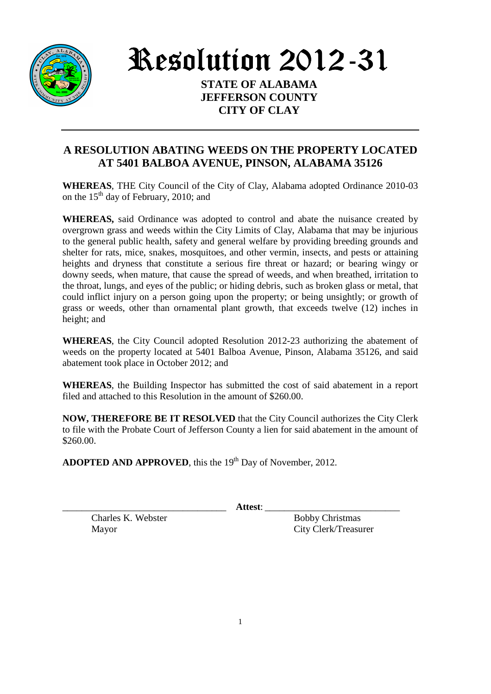

Resolution 2012-31

**STATE OF ALABAMA JEFFERSON COUNTY CITY OF CLAY** 

## **A RESOLUTION ABATING WEEDS ON THE PROPERTY LOCATED AT 5401 BALBOA AVENUE, PINSON, ALABAMA 35126**

**WHEREAS**, THE City Council of the City of Clay, Alabama adopted Ordinance 2010-03 on the  $15<sup>th</sup>$  day of February, 2010; and

**WHEREAS,** said Ordinance was adopted to control and abate the nuisance created by overgrown grass and weeds within the City Limits of Clay, Alabama that may be injurious to the general public health, safety and general welfare by providing breeding grounds and shelter for rats, mice, snakes, mosquitoes, and other vermin, insects, and pests or attaining heights and dryness that constitute a serious fire threat or hazard; or bearing wingy or downy seeds, when mature, that cause the spread of weeds, and when breathed, irritation to the throat, lungs, and eyes of the public; or hiding debris, such as broken glass or metal, that could inflict injury on a person going upon the property; or being unsightly; or growth of grass or weeds, other than ornamental plant growth, that exceeds twelve (12) inches in height; and

**WHEREAS**, the City Council adopted Resolution 2012-23 authorizing the abatement of weeds on the property located at 5401 Balboa Avenue, Pinson, Alabama 35126, and said abatement took place in October 2012; and

**WHEREAS**, the Building Inspector has submitted the cost of said abatement in a report filed and attached to this Resolution in the amount of \$260.00.

**NOW, THEREFORE BE IT RESOLVED** that the City Council authorizes the City Clerk to file with the Probate Court of Jefferson County a lien for said abatement in the amount of \$260.00.

**ADOPTED AND APPROVED**, this the 19<sup>th</sup> Day of November, 2012.

\_\_\_\_\_\_\_\_\_\_\_\_\_\_\_\_\_\_\_\_\_\_\_\_\_\_\_\_\_\_\_\_\_\_ **Attest**: \_\_\_\_\_\_\_\_\_\_\_\_\_\_\_\_\_\_\_\_\_\_\_\_\_\_\_\_

Charles K. Webster Bobby Christmas

Mayor City Clerk/Treasurer